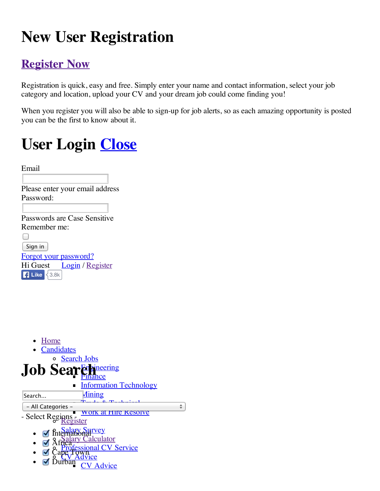## **New User Registration**

#### **Register Now**

Registration is quick, easy and free. Simply enter your name and contact information, select your job category and location, upload your CV and your dream job could come finding you!

When you register you will also be able to sign-up for job alerts, so as each amazing opportunity is posted you can be the first to know about it.

## **User Login Close**

| Email                           |
|---------------------------------|
|                                 |
| Please enter your email address |
| Password:                       |
|                                 |
| Passwords are Case Sensitive    |
| Remember me                     |
|                                 |
| Sign in                         |
| <b>Forgot your password?</b>    |
| Login / Register<br>Hi Guest    |
| <b>Like</b><br>3.8k             |

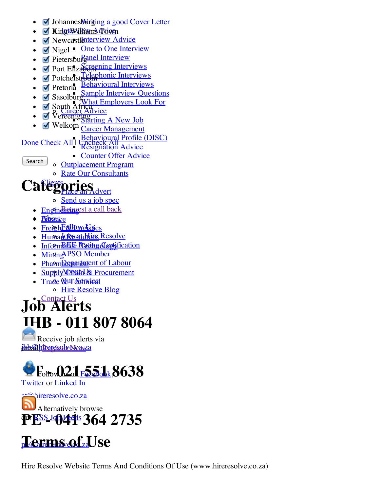- Johannes<mark>b\irging a good Cover Letter</mark>  $\bullet$
- Kin<mark>gt&Williams Tow</mark>n
- Newcastlaterview Advice
- Nigel One to One Interview
- Pietersburganel Interview
- Port Elizabethering Interviews
- Potchefstroom interviews
- Pretoria Behavioural Interviews
- **Sample Interview Questions** Sasolburg
- What Employers Look For
- Career Advice South Africa
- **Starting A New Job** Vereeniging
- Welkom Career Management

#### Behavioural Profile (DISC)

- Done Check All Uncheck All Total
	- Counter Offer Advice
- Search
- Outplacement Program
- Rate Our Consultants

#### Caftegories **PLAS**<br>ce an A<u>dvert</u>

- Send us a job spec
- <u>Engineeringst a call back</u>
- <u>Aibaute</u>
- <u>FreighFellDwoldsics</u>
- <u>Human Resolve</u>
- Information Rating Cortyfication
- Mining PSO Member
- <u>Pha<del>rmDepatta1</del>ent of Labour</u>
- Supply Atbuth L& Procurement
- <u>Trade <mark>Qui Schwice</mark>l</u>
	- o Hire Resolve Blog

#### • Contact Us **JHB - 011 807 8064 Job Alerts**

j<mark>ihh:44 hirereisolw Nowza</mark> Receive job alerts via



ct@hireresolve.co.za **PES JOH 1 364 2735 Alternatively browse** 

### pe@hireresolve.co.za **Terms of Use**

Hire Resolve Website Terms And Conditions Of Use (www.hireresolve.co.za)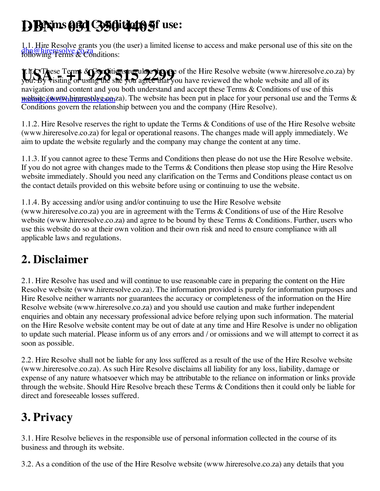# **DBN - 031 350 4405 1. Terms and Conditions of use:**

dbn@hireresolve.co.za<br>following Terms & Conditions: 1.1. Hire Resolve grants you (the user) a limited license to access and make personal use of this site on the

**1. If CIA** ese Terms & Conditions regulate that you have reviewed the whole website (www.hireresolve.co.za) by<br>you: By visiting or using the site you agree that you have reviewed the whole website and all of its mining.jobs/@hireresolve.com/za). The website has been put in place for your personal use and the Terms & you. By visiting or using the site you agree that you have reviewed the whole website and all of its navigation and content and you both understand and accept these Terms & Conditions of use of this Conditions govern the relationship between you and the company (Hire Resolve).

1.1.2. Hire Resolve reserves the right to update the Terms & Conditions of use of the Hire Resolve website (www.hireresolve.co.za) for legal or operational reasons. The changes made will apply immediately. We aim to update the website regularly and the company may change the content at any time.

1.1.3. If you cannot agree to these Terms and Conditions then please do not use the Hire Resolve website. If you do not agree with changes made to the Terms & Conditions then please stop using the Hire Resolve website immediately. Should you need any clarification on the Terms and Conditions please contact us on the contact details provided on this website before using or continuing to use the website.

1.1.4. By accessing and/or using and/or continuing to use the Hire Resolve website (www.hireresolve.co.za) you are in agreement with the Terms & Conditions of use of the Hire Resolve website (www.hireresolve.co.za) and agree to be bound by these Terms & Conditions. Further, users who use this website do so at their own volition and their own risk and need to ensure compliance with all applicable laws and regulations.

### **2. Disclaimer**

2.1. Hire Resolve has used and will continue to use reasonable care in preparing the content on the Hire Resolve website (www.hireresolve.co.za). The information provided is purely for information purposes and Hire Resolve neither warrants nor guarantees the accuracy or completeness of the information on the Hire Resolve website (www.hireresolve.co.za) and you should use caution and make further independent enquiries and obtain any necessary professional advice before relying upon such information. The material on the Hire Resolve website content may be out of date at any time and Hire Resolve is under no obligation to update such material. Please inform us of any errors and / or omissions and we will attempt to correct it as soon as possible.

2.2. Hire Resolve shall not be liable for any loss suffered as a result of the use of the Hire Resolve website (www.hireresolve.co.za). As such Hire Resolve disclaims all liability for any loss, liability, damage or expense of any nature whatsoever which may be attributable to the reliance on information or links provide through the website. Should Hire Resolve breach these Terms & Conditions then it could only be liable for direct and foreseeable losses suffered.

### **3. Privacy**

3.1. Hire Resolve believes in the responsible use of personal information collected in the course of its business and through its website.

3.2. As a condition of the use of the Hire Resolve website (www.hireresolve.co.za) any details that you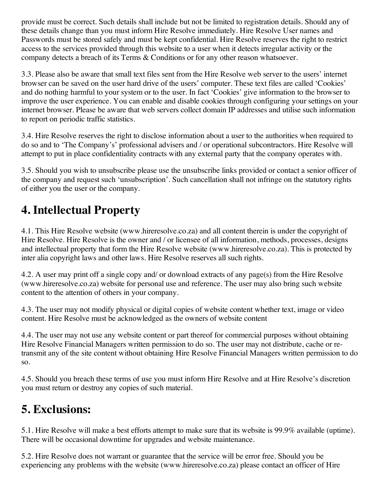provide must be correct. Such details shall include but not be limited to registration details. Should any of these details change than you must inform Hire Resolve immediately. Hire Resolve User names and Passwords must be stored safely and must be kept confidential. Hire Resolve reserves the right to restrict access to the services provided through this website to a user when it detects irregular activity or the company detects a breach of its Terms & Conditions or for any other reason whatsoever.

3.3. Please also be aware that small text files sent from the Hire Resolve web server to the users' internet browser can be saved on the user hard drive of the users' computer. These text files are called 'Cookies' and do nothing harmful to your system or to the user. In fact 'Cookies' give information to the browser to improve the user experience. You can enable and disable cookies through configuring your settings on your internet browser. Please be aware that web servers collect domain IP addresses and utilise such information to report on periodic traffic statistics.

3.4. Hire Resolve reserves the right to disclose information about a user to the authorities when required to do so and to 'The Company's' professional advisers and / or operational subcontractors. Hire Resolve will attempt to put in place confidentiality contracts with any external party that the company operates with.

3.5. Should you wish to unsubscribe please use the unsubscribe links provided or contact a senior officer of the company and request such 'unsubscription'. Such cancellation shall not infringe on the statutory rights of either you the user or the company.

### **4. Intellectual Property**

4.1. This Hire Resolve website (www.hireresolve.co.za) and all content therein is under the copyright of Hire Resolve. Hire Resolve is the owner and / or licensee of all information, methods, processes, designs and intellectual property that form the Hire Resolve website (www.hireresolve.co.za). This is protected by inter alia copyright laws and other laws. Hire Resolve reserves all such rights.

4.2. A user may print off a single copy and/ or download extracts of any page(s) from the Hire Resolve (www.hireresolve.co.za) website for personal use and reference. The user may also bring such website content to the attention of others in your company.

4.3. The user may not modify physical or digital copies of website content whether text, image or video content. Hire Resolve must be acknowledged as the owners of website content

4.4. The user may not use any website content or part thereof for commercial purposes without obtaining Hire Resolve Financial Managers written permission to do so. The user may not distribute, cache or retransmit any of the site content without obtaining Hire Resolve Financial Managers written permission to do so.

4.5. Should you breach these terms of use you must inform Hire Resolve and at Hire Resolve's discretion you must return or destroy any copies of such material.

### **5. Exclusions:**

5.1. Hire Resolve will make a best efforts attempt to make sure that its website is 99.9% available (uptime). There will be occasional downtime for upgrades and website maintenance.

5.2. Hire Resolve does not warrant or guarantee that the service will be error free. Should you be experiencing any problems with the website (www.hireresolve.co.za) please contact an officer of Hire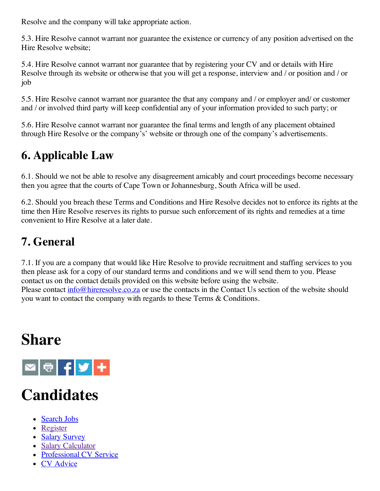Resolve and the company will take appropriate action.

5.3. Hire Resolve cannot warrant nor guarantee the existence or currency of any position advertised on the Hire Resolve website;

5.4. Hire Resolve cannot warrant nor guarantee that by registering your CV and or details with Hire Resolve through its website or otherwise that you will get a response, interview and / or position and / or job

5.5. Hire Resolve cannot warrant nor guarantee the that any company and / or employer and/ or customer and / or involved third party will keep confidential any of your information provided to such party; or

5.6. Hire Resolve cannot warrant nor guarantee the final terms and length of any placement obtained through Hire Resolve or the company's' website or through one of the company's advertisements.

### **6. Applicable Law**

6.1. Should we not be able to resolve any disagreement amicably and court proceedings become necessary then you agree that the courts of Cape Town or Johannesburg, South Africa will be used.

6.2. Should you breach these Terms and Conditions and Hire Resolve decides not to enforce its rights at the time then Hire Resolve reserves its rights to pursue such enforcement of its rights and remedies at a time convenient to Hire Resolve at a later date.

### **7. General**

7.1. If you are a company that would like Hire Resolve to provide recruitment and staffing services to you then please ask for a copy of our standard terms and conditions and we will send them to you. Please contact us on the contact details provided on this website before using the website. Please contact info@hireresolve.co.za or use the contacts in the Contact Us section of the website should you want to contact the company with regards to these Terms & Conditions.

### **Share**



### **Candidates**

- Search Jobs
- Register
- Salary Survey
- Salary Calculator
- Professional CV Service
- CV Advice